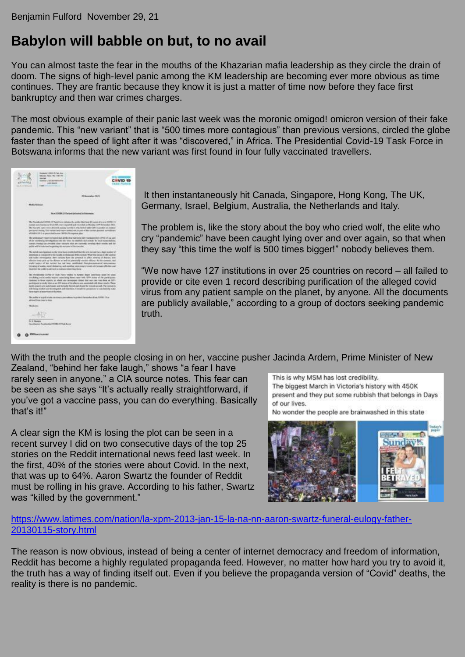## **Babylon will babble on but, to no avail**

You can almost taste the fear in the mouths of the Khazarian mafia leadership as they circle the drain of doom. The signs of high-level panic among the KM leadership are becoming ever more obvious as time continues. They are frantic because they know it is just a matter of time now before they face first bankruptcy and then war crimes charges.

The most obvious example of their panic last week was the moronic omigod! omicron version of their fake pandemic. This "new variant" that is "500 times more contagious" than previous versions, circled the globe faster than the speed of light after it was "discovered," in Africa. The Presidential Covid-19 Task Force in Botswana informs that the new variant was first found in four fully vaccinated travellers.

| ALABE | <b>Seable 1400 Bornstowns</b><br><b><i>AND DATES</i></b><br><b>EXAMINER CONTRACTOR</b>                                                                                                                                                                                                                                                                                                                                                                                                                                                                                                                                                             |                  | <b>TABE AC</b> |
|-------|----------------------------------------------------------------------------------------------------------------------------------------------------------------------------------------------------------------------------------------------------------------------------------------------------------------------------------------------------------------------------------------------------------------------------------------------------------------------------------------------------------------------------------------------------------------------------------------------------------------------------------------------------|------------------|----------------|
|       |                                                                                                                                                                                                                                                                                                                                                                                                                                                                                                                                                                                                                                                    | 11 Secondes 3511 |                |
|       | <b>Midly Selecal</b>                                                                                                                                                                                                                                                                                                                                                                                                                                                                                                                                                                                                                               |                  |                |
|       | We're GOVERN ATV Visitizent platestered as Notes assista                                                                                                                                                                                                                                                                                                                                                                                                                                                                                                                                                                                           |                  |                |
|       | The Presidential CERCE OF Twis Form Informs the public that has \$45 scient of a service CPRS 14.<br>cutter any trains as \$111225, were capital and recolled at Mexica 124 Secretary 2011.<br>The Aust 193 came were detected money travellers with higher OW C pickline an reading<br>yier front subsig 194 senati body winn cented with part of the busines designed symptoms.<br>af LABLIC HIS original to your study to your CRV Dr. PT compositor plans.                                                                                                                                                                                     |                  |                |
|       | The pretionisary report invested that all the dear had to ex facts manipulated EPRD 178 applica-<br>of the youthoring benefigations into the etern by relatively and researc for boat transcriptional.<br>calcult Market too (44tdfed close) countries who are currently poneties their results and the<br>police will be industrial regarding the substance of the materials.                                                                                                                                                                                                                                                                     |                  |                |
|       | The lasted investigation in the year fune continuing that the user-carrier has a high number of<br>exhibitions as insupport to the locatily previous polls excited. What the invoix to visit control<br>and cooler correspons. Sew cartery have the powerial to allect sovereig of disease, box-<br>affective both and har the Manuel as well as patientedly mention officers. At this summer, real<br>and inject of the ratial list late multided. Reculemental adventures<br>benefing of masks, yound deducting, and anothing intercentury treatist ettil protate effective and<br>therefore the public is advoced to their accelerated by them. |                  |                |
|       | The filmsheeka (CFC) CF Tush Force AADAN in Author staged assortions sends by using<br>drividates we're early restrict associating thing came with 1974 status of the participants.<br>Learney to thisk report; at when you connected make that one case was dress as SIPV.<br>purtrapoliti lo conder lides us an EOV atatos of the disense and annotated with these results. These<br>ments experts are automobile and turnedy flamed and stock by wrong as safe. The corone is<br>still being stocked and downtagened and therefore. A security by greatment to comclassing scales<br>Harry-Impos all accordiant at this time.                   |                  |                |
|       | The public in signification constructs prevailably trip steel throughout through the COVID-17 or<br>advised three times to time.                                                                                                                                                                                                                                                                                                                                                                                                                                                                                                                   |                  |                |
|       | <b>Three de primes</b>                                                                                                                                                                                                                                                                                                                                                                                                                                                                                                                                                                                                                             |                  |                |
|       |                                                                                                                                                                                                                                                                                                                                                                                                                                                                                                                                                                                                                                                    |                  |                |
|       | <b>Still Realists</b><br>Gerdauna, Fostiania (1988-19 Dak Ferry                                                                                                                                                                                                                                                                                                                                                                                                                                                                                                                                                                                    |                  |                |
|       | <b><i>MALCONTAINMENT</i></b>                                                                                                                                                                                                                                                                                                                                                                                                                                                                                                                                                                                                                       |                  |                |

It then instantaneously hit Canada, Singapore, Hong Kong, The UK, Germany, Israel, Belgium, Australia, the Netherlands and Italy.

The problem is, like the story about the boy who cried wolf, the elite who cry "pandemic" have been caught lying over and over again, so that when they say "this time the wolf is 500 times bigger!" nobody believes them.

"We now have 127 institutions in over 25 countries on record – all failed to provide or cite even 1 record describing purification of the alleged covid virus from any patient sample on the planet, by anyone. All the documents are publicly available," according to a group of doctors seeking pandemic truth.

With the truth and the people closing in on her, vaccine pusher Jacinda Ardern, Prime Minister of New

Zealand, "behind her fake laugh," shows "a fear I have rarely seen in anyone," a CIA source notes. This fear can be seen as she says "It's actually really straightforward, if you've got a vaccine pass, you can do everything. Basically that's it!"

A clear sign the KM is losing the plot can be seen in a recent survey I did on two consecutive days of the top 25 stories on the Reddit international news feed last week. In the first, 40% of the stories were about Covid. In the next, that was up to 64%. Aaron Swartz the founder of Reddit must be rolling in his grave. According to his father, Swartz was "killed by the government."

This is why MSM has lost credibility. The biggest March in Victoria's history with 450K present and they put some rubbish that belongs in Days of our lives.

No wonder the people are brainwashed in this state



[https://www.latimes.com/nation/la-xpm-2013-jan-15-la-na-nn-aaron-swartz-funeral-eulogy-father-](https://www.latimes.com/nation/la-xpm-2013-jan-15-la-na-nn-aaron-swartz-funeral-eulogy-father-20130115-story.html)[20130115-story.html](https://www.latimes.com/nation/la-xpm-2013-jan-15-la-na-nn-aaron-swartz-funeral-eulogy-father-20130115-story.html)

The reason is now obvious, instead of being a center of internet democracy and freedom of information, Reddit has become a highly regulated propaganda feed. However, no matter how hard you try to avoid it, the truth has a way of finding itself out. Even if you believe the propaganda version of "Covid" deaths, the reality is there is no pandemic.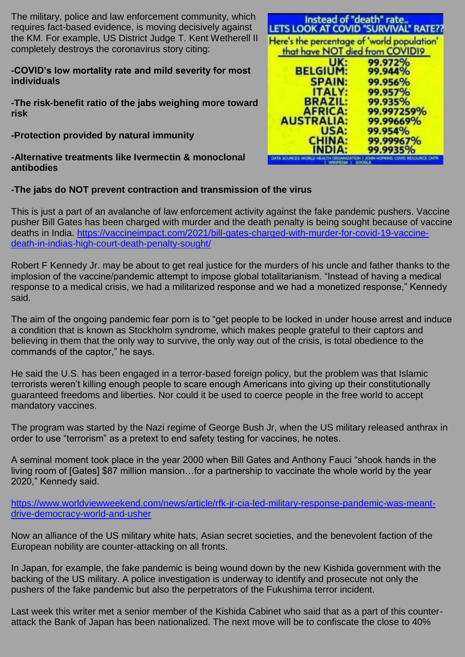The military, police and law enforcement community, which requires fact-based evidence, is moving decisively against the KM. For example, US District Judge T. Kent Wetherell II completely destroys the coronavirus story citing:

## **-COVID's low mortality rate and mild severity for most individuals**

**-The risk-benefit ratio of the jabs weighing more toward risk**

**-Protection provided by natural immunity**

**-Alternative treatments like Ivermectin & monoclonal antibodies**

| Instead of "death" rate<br>LETS LOOK AT COVID "SURVIVAL" RATE??                |            |  |  |
|--------------------------------------------------------------------------------|------------|--|--|
| Here's the percentage of 'world population'<br>that have NOT died from COVID19 |            |  |  |
| UK:                                                                            | 99.972%    |  |  |
| <b>BELGIUM:</b>                                                                | 99.944%    |  |  |
| <b>SPAIN:</b>                                                                  | 99.956%    |  |  |
| <b>ITALY:</b>                                                                  | 99.957%    |  |  |
| <b>BRAZIL:</b>                                                                 | 99.935%    |  |  |
| <b>AFRICA:</b>                                                                 | 99.997259% |  |  |
| <b>AUSTRALIA:</b>                                                              | 99.99669%  |  |  |
| <b>USA:</b>                                                                    | 99.954%    |  |  |
| <b>CHINA:</b>                                                                  | 99.99967%  |  |  |
| NDIA:                                                                          | 99.9935%   |  |  |

## **-The jabs do NOT prevent contraction and transmission of the virus**

This is just a part of an avalanche of law enforcement activity against the fake pandemic pushers. Vaccine pusher Bill Gates has been charged with murder and the death penalty is being sought because of vaccine deaths in India. [https://vaccineimpact.com/2021/bill-gates-charged-with-murder-for-covid-19-vaccine](https://vaccineimpact.com/2021/bill-gates-charged-with-murder-for-covid-19-vaccine-death-in-indias-high-court-death-penalty-sought/)[death-in-indias-high-court-death-penalty-sought/](https://vaccineimpact.com/2021/bill-gates-charged-with-murder-for-covid-19-vaccine-death-in-indias-high-court-death-penalty-sought/)

Robert F Kennedy Jr. may be about to get real justice for the murders of his uncle and father thanks to the implosion of the vaccine/pandemic attempt to impose global totalitarianism. "Instead of having a medical response to a medical crisis, we had a militarized response and we had a monetized response," Kennedy said.

The aim of the ongoing pandemic fear porn is to "get people to be locked in under house arrest and induce a condition that is known as Stockholm syndrome, which makes people grateful to their captors and believing in them that the only way to survive, the only way out of the crisis, is total obedience to the commands of the captor," he says.

He said the U.S. has been engaged in a terror-based foreign policy, but the problem was that Islamic terrorists weren't killing enough people to scare enough Americans into giving up their constitutionally guaranteed freedoms and liberties. Nor could it be used to coerce people in the free world to accept mandatory vaccines.

The program was started by the Nazi regime of George Bush Jr, when the US military released anthrax in order to use "terrorism" as a pretext to end safety testing for vaccines, he notes.

A seminal moment took place in the year 2000 when Bill Gates and Anthony Fauci "shook hands in the living room of [Gates] \$87 million mansion…for a partnership to vaccinate the whole world by the year 2020," Kennedy said.

[https://www.worldviewweekend.com/news/article/rfk-jr-cia-led-military-response-pandemic-was-meant](https://www.worldviewweekend.com/news/article/rfk-jr-cia-led-military-response-pandemic-was-meant-drive-democracy-world-and-usher)[drive-democracy-world-and-usher](https://www.worldviewweekend.com/news/article/rfk-jr-cia-led-military-response-pandemic-was-meant-drive-democracy-world-and-usher)

Now an alliance of the US military white hats, Asian secret societies, and the benevolent faction of the European nobility are counter-attacking on all fronts.

In Japan, for example, the fake pandemic is being wound down by the new Kishida government with the backing of the US military. A police investigation is underway to identify and prosecute not only the pushers of the fake pandemic but also the perpetrators of the Fukushima terror incident.

Last week this writer met a senior member of the Kishida Cabinet who said that as a part of this counterattack the Bank of Japan has been nationalized. The next move will be to confiscate the close to 40%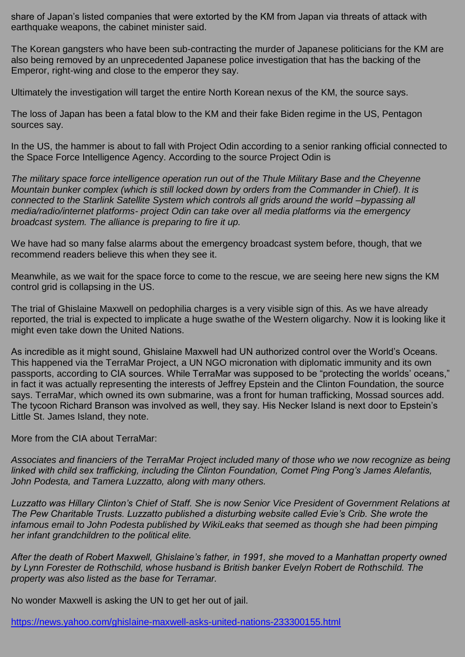share of Japan's listed companies that were extorted by the KM from Japan via threats of attack with earthquake weapons, the cabinet minister said.

The Korean gangsters who have been sub-contracting the murder of Japanese politicians for the KM are also being removed by an unprecedented Japanese police investigation that has the backing of the Emperor, right-wing and close to the emperor they say.

Ultimately the investigation will target the entire North Korean nexus of the KM, the source says.

The loss of Japan has been a fatal blow to the KM and their fake Biden regime in the US, Pentagon sources say.

In the US, the hammer is about to fall with Project Odin according to a senior ranking official connected to the Space Force Intelligence Agency. According to the source Project Odin is

*The military space force intelligence operation run out of the Thule Military Base and the Cheyenne Mountain bunker complex (which is still locked down by orders from the Commander in Chief). It is connected to the Starlink Satellite System which controls all grids around the world –bypassing all media/radio/internet platforms- project Odin can take over all media platforms via the emergency broadcast system. The alliance is preparing to fire it up.*

We have had so many false alarms about the emergency broadcast system before, though, that we recommend readers believe this when they see it.

Meanwhile, as we wait for the space force to come to the rescue, we are seeing here new signs the KM control grid is collapsing in the US.

The trial of Ghislaine Maxwell on pedophilia charges is a very visible sign of this. As we have already reported, the trial is expected to implicate a huge swathe of the Western oligarchy. Now it is looking like it might even take down the United Nations.

As incredible as it might sound, Ghislaine Maxwell had UN authorized control over the World's Oceans. This happened via the TerraMar Project, a UN NGO micronation with diplomatic immunity and its own passports, according to CIA sources. While TerraMar was supposed to be "protecting the worlds' oceans," in fact it was actually representing the interests of Jeffrey Epstein and the Clinton Foundation, the source says. TerraMar, which owned its own submarine, was a front for human trafficking, Mossad sources add. The tycoon Richard Branson was involved as well, they say. His Necker Island is next door to Epstein's Little St. James Island, they note.

More from the CIA about TerraMar:

*Associates and financiers of the TerraMar Project included many of those who we now recognize as being linked with child sex trafficking, including the Clinton Foundation, Comet Ping Pong's James Alefantis, John Podesta, and Tamera Luzzatto, along with many others.*

*Luzzatto was Hillary Clinton's Chief of Staff. She is now Senior Vice President of Government Relations at The Pew Charitable Trusts. Luzzatto published a disturbing website called Evie's Crib. She wrote the infamous email to John Podesta published by WikiLeaks that seemed as though she had been pimping her infant grandchildren to the political elite.*

*After the death of Robert Maxwell, Ghislaine's father, in 1991, she moved to a Manhattan property owned by Lynn Forester de Rothschild, whose husband is British banker Evelyn Robert de Rothschild. The property was also listed as the base for Terramar.*

No wonder Maxwell is asking the UN to get her out of jail.

<https://news.yahoo.com/ghislaine-maxwell-asks-united-nations-233300155.html>